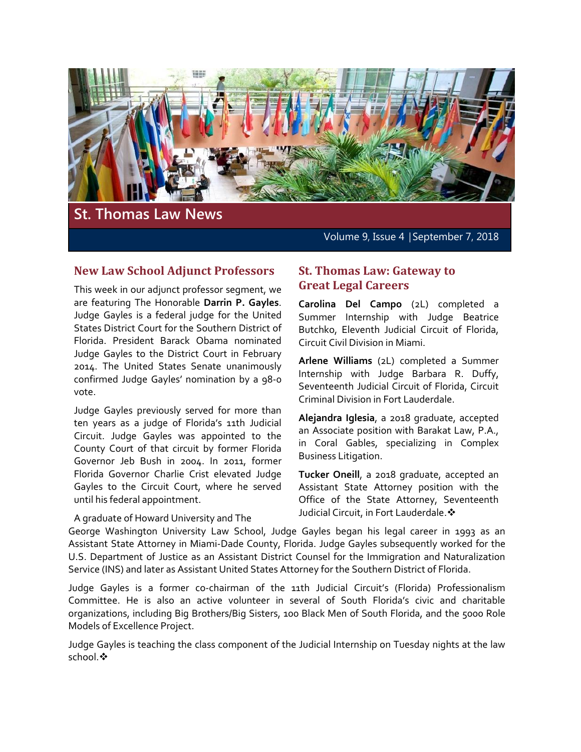

# **St. Thomas Law News**

Volume 9, Issue 4 | September 7, 2018

#### **New Law School Adjunct Professors**

This week in our adjunct professor segment, we are featuring The Honorable **Darrin P. Gayles**. Judge Gayles is a federal judge for the United States District Court for the Southern District of Florida. President Barack Obama nominated Judge Gayles to the District Court in February 2014. The United States Senate unanimously confirmed Judge Gayles' nomination by a 98-0 vote.

Judge Gayles previously served for more than ten years as a judge of Florida's 11th Judicial Circuit. Judge Gayles was appointed to the County Court of that circuit by former Florida Governor Jeb Bush in 2004. In 2011, former Florida Governor Charlie Crist elevated Judge Gayles to the Circuit Court, where he served until his federal appointment.

#### A graduate of Howard University and The

#### **St. Thomas Law: Gateway to Great Legal Careers**

**Carolina Del Campo** (2L) completed a Summer Internship with Judge Beatrice Butchko, Eleventh Judicial Circuit of Florida, Circuit Civil Division in Miami.

**Arlene Williams** (2L) completed a Summer Internship with Judge Barbara R. Duffy, Seventeenth Judicial Circuit of Florida, Circuit Criminal Division in Fort Lauderdale.

**Alejandra Iglesia**, a 2018 graduate, accepted an Associate position with Barakat Law, P.A., in Coral Gables, specializing in Complex Business Litigation.

**Tucker Oneill**, a 2018 graduate, accepted an Assistant State Attorney position with the Office of the State Attorney, Seventeenth Judicial Circuit, in Fort Lauderdale.

George Washington University Law School, Judge Gayles began his legal career in 1993 as an Assistant State Attorney in Miami-Dade County, Florida. Judge Gayles subsequently worked for the U.S. Department of Justice as an Assistant District Counsel for the Immigration and Naturalization Service (INS) and later as Assistant United States Attorney for the Southern District of Florida.

Judge Gayles is a former co-chairman of the 11th Judicial Circuit's (Florida) Professionalism Committee. He is also an active volunteer in several of South Florida's civic and charitable organizations, including Big Brothers/Big Sisters, 100 Black Men of South Florida, and the 5000 Role Models of Excellence Project.

Judge Gayles is teaching the class component of the Judicial Internship on Tuesday nights at the law school. ❖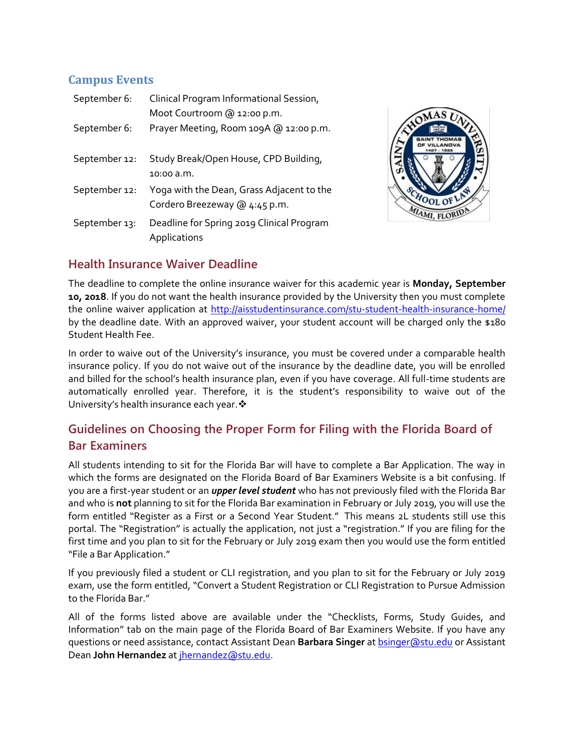## **Campus Events**

| September 6:  | Clinical Program Informational Session,<br>Moot Courtroom @ 12:00 p.m.     |
|---------------|----------------------------------------------------------------------------|
| September 6:  | Prayer Meeting, Room 109A @ 12:00 p.m.                                     |
| September 12: | Study Break/Open House, CPD Building,<br>10:00 a.m.                        |
| September 12: | Yoga with the Dean, Grass Adjacent to the<br>Cordero Breezeway @ 4:45 p.m. |
| September 13: | Deadline for Spring 2019 Clinical Program<br>Applications                  |



#### **Health Insurance Waiver Deadline**

The deadline to complete the online insurance waiver for this academic year is **Monday, September 10, 2018**. If you do not want the health insurance provided by the University then you must complete the online waiver application at<http://aisstudentinsurance.com/stu-student-health-insurance-home/> by the deadline date. With an approved waiver, your student account will be charged only the \$180 Student Health Fee.

In order to waive out of the University's insurance, you must be covered under a comparable health insurance policy. If you do not waive out of the insurance by the deadline date, you will be enrolled and billed for the school's health insurance plan, even if you have coverage. All full-time students are automatically enrolled year. Therefore, it is the student's responsibility to waive out of the University's health insurance each year. ❖

# **Guidelines on Choosing the Proper Form for Filing with the Florida Board of Bar Examiners**

All students intending to sit for the Florida Bar will have to complete a Bar Application. The way in which the forms are designated on the Florida Board of Bar Examiners Website is a bit confusing. If you are a first-year student or an *upper level student* who has not previously filed with the Florida Bar and who is **not** planning to sit for the Florida Bar examination in February or July 2019, you will use the form entitled "Register as a First or a Second Year Student." This means 2L students still use this portal. The "Registration" is actually the application, not just a "registration." If you are filing for the first time and you plan to sit for the February or July 2019 exam then you would use the form entitled "File a Bar Application."

If you previously filed a student or CLI registration, and you plan to sit for the February or July 2019 exam, use the form entitled, "Convert a Student Registration or CLI Registration to Pursue Admission to the Florida Bar."

All of the forms listed above are available under the "Checklists, Forms, Study Guides, and Information" tab on the main page of the Florida Board of Bar Examiners Website. If you have any questions or need assistance, contact Assistant Dean **Barbara Singer** a[t bsinger@stu.edu](mailto:bsinger@stu.edu) or Assistant Dean John Hernandez at [jhernandez@stu.edu.](mailto:jhernandez@stu.edu)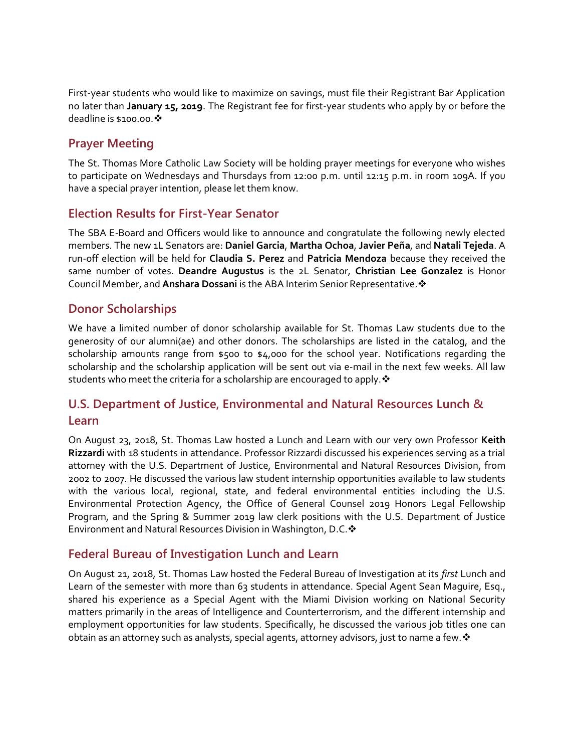First-year students who would like to maximize on savings, must file their Registrant Bar Application no later than **January 15, 2019**. The Registrant fee for first-year students who apply by or before the deadline is \$100.00. ❖

## **Prayer Meeting**

The St. Thomas More Catholic Law Society will be holding prayer meetings for everyone who wishes to participate on Wednesdays and Thursdays from 12:00 p.m. until 12:15 p.m. in room 109A. If you have a special prayer intention, please let them know.

#### **Election Results for First-Year Senator**

The SBA E-Board and Officers would like to announce and congratulate the following newly elected members. The new 1L Senators are: **Daniel Garcia**, **Martha Ochoa**, **Javier Peña**, and **Natali Tejeda**. A run-off election will be held for **Claudia S. Perez** and **Patricia Mendoza** because they received the same number of votes. **Deandre Augustus** is the 2L Senator, **Christian Lee Gonzalez** is Honor Council Member, and **Anshara Dossani** is the ABA Interim Senior Representative.

#### **Donor Scholarships**

We have a limited number of donor scholarship available for St. Thomas Law students due to the generosity of our alumni(ae) and other donors. The scholarships are listed in the catalog, and the scholarship amounts range from \$500 to \$4,000 for the school year. Notifications regarding the scholarship and the scholarship application will be sent out via e-mail in the next few weeks. All law students who meet the criteria for a scholarship are encouraged to apply.

# **U.S. Department of Justice, Environmental and Natural Resources Lunch & Learn**

On August 23, 2018, St. Thomas Law hosted a Lunch and Learn with our very own Professor **Keith Rizzardi** with 18 students in attendance. Professor Rizzardi discussed his experiences serving as a trial attorney with the U.S. Department of Justice, Environmental and Natural Resources Division, from 2002 to 2007. He discussed the various law student internship opportunities available to law students with the various local, regional, state, and federal environmental entities including the U.S. Environmental Protection Agency, the Office of General Counsel 2019 Honors Legal Fellowship Program, and the Spring & Summer 2019 law clerk positions with the U.S. Department of Justice Environment and Natural Resources Division in Washington, D.C.

#### **Federal Bureau of Investigation Lunch and Learn**

On August 21, 2018, St. Thomas Law hosted the Federal Bureau of Investigation at its *first* Lunch and Learn of the semester with more than 63 students in attendance. Special Agent Sean Maguire, Esq., shared his experience as a Special Agent with the Miami Division working on National Security matters primarily in the areas of Intelligence and Counterterrorism, and the different internship and employment opportunities for law students. Specifically, he discussed the various job titles one can obtain as an attorney such as analysts, special agents, attorney advisors, just to name a few.  $\cdot$